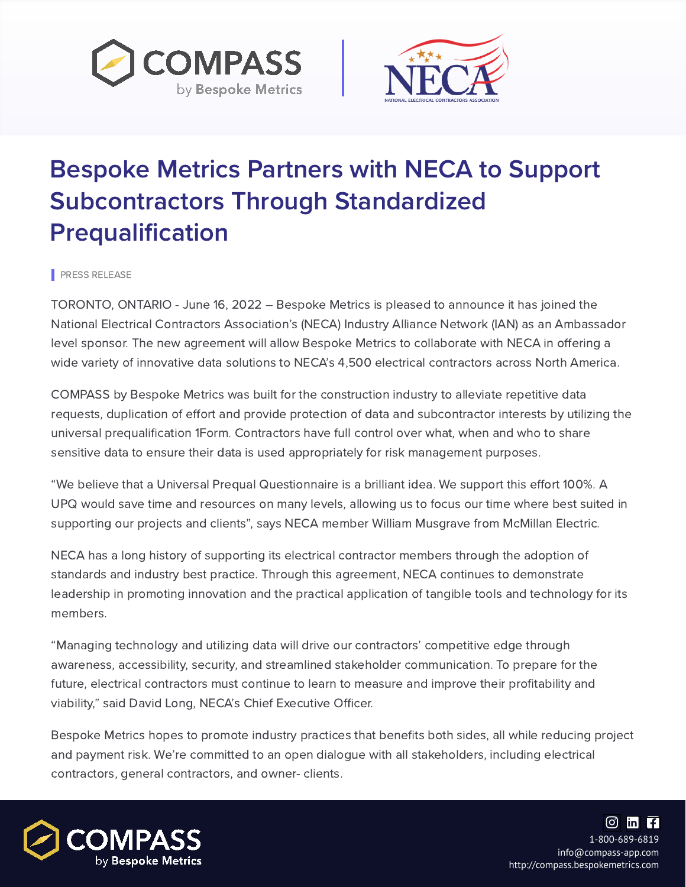PRESS RELEASE





## Bespoke Metrics Partners with NECA to Support Subcontractors Through Standardized Prequalification



TORONTO, ONTARIO - June 16, 2022 – Bespoke Metrics is pleased to announce it has joined the National Electrical Contractors Association's (NECA) Industry Alliance Network (IAN) as an Ambassador level sponsor. The new agreement will allow Bespoke Metrics to collaborate with NECA in offering a wide variety of innovative data solutions to NECA's 4,500 electrical contractors across North America.

COMPASS by Bespoke Metrics was built for the construction industry to alleviate repetitive data requests, duplication of effort and provide protection of data and subcontractor interests by utilizing the universal prequalification 1Form. Contractors have full control over what, when and who to share sensitive data to ensure their data is used appropriately for risk management purposes.

"We believe that a Universal Prequal Questionnaire is a brilliant idea. We support this effort 100%. A UPQ would save time and resources on many levels, allowing us to focus our time where best suited in supporting our projects and clients" , says NECA member William Musgrave from McMillan Electric.

NECA has a long history of supporting its electrical contractor members through the adoption of standards and industry best practice. Through this agreement, NECA continues to demonstrate leadership in promoting innovation and the practical application of tangible tools and technology for its members.

"Managing technology and utilizing data will drive our contractors' competitive edge through awareness, accessibility, security, and streamlined stakeholder communication. To prepare for the future, electrical contractors must continue to learn to measure and improve their profitability and viability, " said David Long, NECA's Chief Executive Officer.

Bespoke Metrics hopes to promote industry practices that benefits both sides, all while reducing project and payment risk. We're committed to an open dialogue with all stakeholders, including electrical

## contractors, general contractors, and owner- clients.